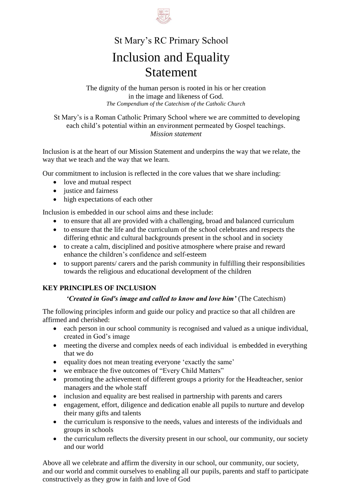

# St Mary's RC Primary School Inclusion and Equality Statement

The dignity of the human person is rooted in his or her creation in the image and likeness of God. *The Compendium of the Catechism of the Catholic Church*

St Mary's is a Roman Catholic Primary School where we are committed to developing each child's potential within an environment permeated by Gospel teachings. *Mission statement*

Inclusion is at the heart of our Mission Statement and underpins the way that we relate, the way that we teach and the way that we learn.

Our commitment to inclusion is reflected in the core values that we share including:

- love and mutual respect
- justice and fairness
- high expectations of each other

Inclusion is embedded in our school aims and these include:

- to ensure that all are provided with a challenging, broad and balanced curriculum
- to ensure that the life and the curriculum of the school celebrates and respects the differing ethnic and cultural backgrounds present in the school and in society
- to create a calm, disciplined and positive atmosphere where praise and reward enhance the children's confidence and self-esteem
- to support parents/ carers and the parish community in fulfilling their responsibilities towards the religious and educational development of the children

### **KEY PRINCIPLES OF INCLUSION**

### *'Created in God's image and called to know and love him'* (The Catechism)

The following principles inform and guide our policy and practice so that all children are affirmed and cherished:

- each person in our school community is recognised and valued as a unique individual, created in God's image
- meeting the diverse and complex needs of each individual is embedded in everything that we do
- equality does not mean treating everyone 'exactly the same'
- we embrace the five outcomes of "Every Child Matters"
- promoting the achievement of different groups a priority for the Headteacher, senior managers and the whole staff
- inclusion and equality are best realised in partnership with parents and carers
- engagement, effort, diligence and dedication enable all pupils to nurture and develop their many gifts and talents
- the curriculum is responsive to the needs, values and interests of the individuals and groups in schools
- the curriculum reflects the diversity present in our school, our community, our society and our world

Above all we celebrate and affirm the diversity in our school, our community, our society, and our world and commit ourselves to enabling all our pupils, parents and staff to participate constructively as they grow in faith and love of God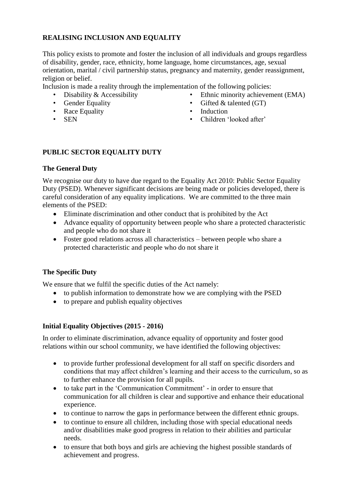### **REALISING INCLUSION AND EQUALITY**

This policy exists to promote and foster the inclusion of all individuals and groups regardless of disability, gender, race, ethnicity, home language, home circumstances, age, sexual orientation, marital / civil partnership status, pregnancy and maternity, gender reassignment, religion or belief.

Inclusion is made a reality through the implementation of the following policies:

- Disability & Accessibility
- Gender Equality
- Race Equality
- SEN
- Ethnic minority achievement (EMA)
- Gifted  $&$  talented  $(T)$
- Induction
- Children 'looked after'

### **PUBLIC SECTOR EQUALITY DUTY**

### **The General Duty**

We recognise our duty to have due regard to the Equality Act 2010: Public Sector Equality Duty (PSED). Whenever significant decisions are being made or policies developed, there is careful consideration of any equality implications. We are committed to the three main elements of the PSED:

- Eliminate discrimination and other conduct that is prohibited by the Act
- Advance equality of opportunity between people who share a protected characteristic and people who do not share it
- Foster good relations across all characteristics between people who share a protected characteristic and people who do not share it

### **The Specific Duty**

We ensure that we fulfil the specific duties of the Act namely:

- to publish information to demonstrate how we are complying with the PSED
- to prepare and publish equality objectives

### **Initial Equality Objectives (2015 - 2016)**

In order to eliminate discrimination, advance equality of opportunity and foster good relations within our school community, we have identified the following objectives:

- to provide further professional development for all staff on specific disorders and conditions that may affect children's learning and their access to the curriculum, so as to further enhance the provision for all pupils.
- to take part in the 'Communication Commitment' in order to ensure that communication for all children is clear and supportive and enhance their educational experience.
- to continue to narrow the gaps in performance between the different ethnic groups.
- to continue to ensure all children, including those with special educational needs and/or disabilities make good progress in relation to their abilities and particular needs.
- to ensure that both boys and girls are achieving the highest possible standards of achievement and progress.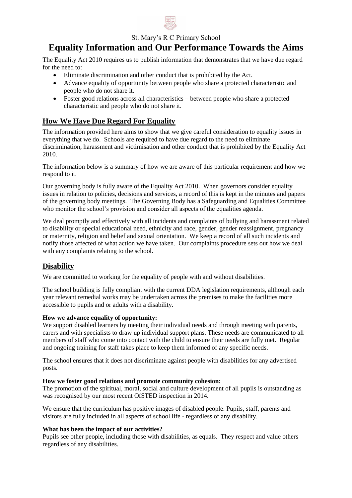

St. Mary's R C Primary School

## **Equality Information and Our Performance Towards the Aims**

The Equality Act 2010 requires us to publish information that demonstrates that we have due regard for the need to:

- Eliminate discrimination and other conduct that is prohibited by the Act.
- Advance equality of opportunity between people who share a protected characteristic and people who do not share it.
- Foster good relations across all characteristics between people who share a protected characteristic and people who do not share it.

### **How We Have Due Regard For Equality**

The information provided here aims to show that we give careful consideration to equality issues in everything that we do. Schools are required to have due regard to the need to eliminate discrimination, harassment and victimisation and other conduct that is prohibited by the Equality Act 2010.

The information below is a summary of how we are aware of this particular requirement and how we respond to it.

Our governing body is fully aware of the Equality Act 2010. When governors consider equality issues in relation to policies, decisions and services, a record of this is kept in the minutes and papers of the governing body meetings. The Governing Body has a Safeguarding and Equalities Committee who monitor the school's provision and consider all aspects of the equalities agenda.

We deal promptly and effectively with all incidents and complaints of bullying and harassment related to disability or special educational need, ethnicity and race, gender, gender reassignment, pregnancy or maternity, religion and belief and sexual orientation. We keep a record of all such incidents and notify those affected of what action we have taken. Our complaints procedure sets out how we deal with any complaints relating to the school.

### **Disability**

We are committed to working for the equality of people with and without disabilities.

The school building is fully compliant with the current DDA legislation requirements, although each year relevant remedial works may be undertaken across the premises to make the facilities more accessible to pupils and or adults with a disability.

### **How we advance equality of opportunity:**

We support disabled learners by meeting their individual needs and through meeting with parents, carers and with specialists to draw up individual support plans. These needs are communicated to all members of staff who come into contact with the child to ensure their needs are fully met. Regular and ongoing training for staff takes place to keep them informed of any specific needs.

The school ensures that it does not discriminate against people with disabilities for any advertised posts.

#### **How we foster good relations and promote community cohesion:**

The promotion of the spiritual, moral, social and culture development of all pupils is outstanding as was recognised by our most recent OfSTED inspection in 2014.

We ensure that the curriculum has positive images of disabled people. Pupils, staff, parents and visitors are fully included in all aspects of school life - regardless of any disability.

### **What has been the impact of our activities?**

Pupils see other people, including those with disabilities, as equals. They respect and value others regardless of any disabilities.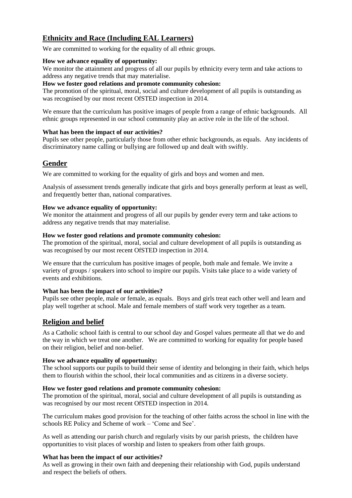### **Ethnicity and Race (Including EAL Learners)**

We are committed to working for the equality of all ethnic groups.

#### **How we advance equality of opportunity:**

We monitor the attainment and progress of all our pupils by ethnicity every term and take actions to address any negative trends that may materialise.

#### **How we foster good relations and promote community cohesion:**

The promotion of the spiritual, moral, social and culture development of all pupils is outstanding as was recognised by our most recent OfSTED inspection in 2014.

We ensure that the curriculum has positive images of people from a range of ethnic backgrounds. All ethnic groups represented in our school community play an active role in the life of the school.

#### **What has been the impact of our activities?**

Pupils see other people, particularly those from other ethnic backgrounds, as equals. Any incidents of discriminatory name calling or bullying are followed up and dealt with swiftly.

### **Gender**

We are committed to working for the equality of girls and boys and women and men.

Analysis of assessment trends generally indicate that girls and boys generally perform at least as well, and frequently better than, national comparatives.

#### **How we advance equality of opportunity:**

We monitor the attainment and progress of all our pupils by gender every term and take actions to address any negative trends that may materialise.

#### **How we foster good relations and promote community cohesion:**

The promotion of the spiritual, moral, social and culture development of all pupils is outstanding as was recognised by our most recent OfSTED inspection in 2014.

We ensure that the curriculum has positive images of people, both male and female. We invite a variety of groups / speakers into school to inspire our pupils. Visits take place to a wide variety of events and exhibitions.

### **What has been the impact of our activities?**

Pupils see other people, male or female, as equals. Boys and girls treat each other well and learn and play well together at school. Male and female members of staff work very together as a team.

### **Religion and belief**

As a Catholic school faith is central to our school day and Gospel values permeate all that we do and the way in which we treat one another. We are committed to working for equality for people based on their religion, belief and non-belief.

### **How we advance equality of opportunity:**

The school supports our pupils to build their sense of identity and belonging in their faith, which helps them to flourish within the school, their local communities and as citizens in a diverse society.

### **How we foster good relations and promote community cohesion:**

The promotion of the spiritual, moral, social and culture development of all pupils is outstanding as was recognised by our most recent OfSTED inspection in 2014.

The curriculum makes good provision for the teaching of other faiths across the school in line with the schools RE Policy and Scheme of work – 'Come and See'.

As well as attending our parish church and regularly visits by our parish priests, the children have opportunities to visit places of worship and listen to speakers from other faith groups.

#### **What has been the impact of our activities?**

As well as growing in their own faith and deepening their relationship with God, pupils understand and respect the beliefs of others.